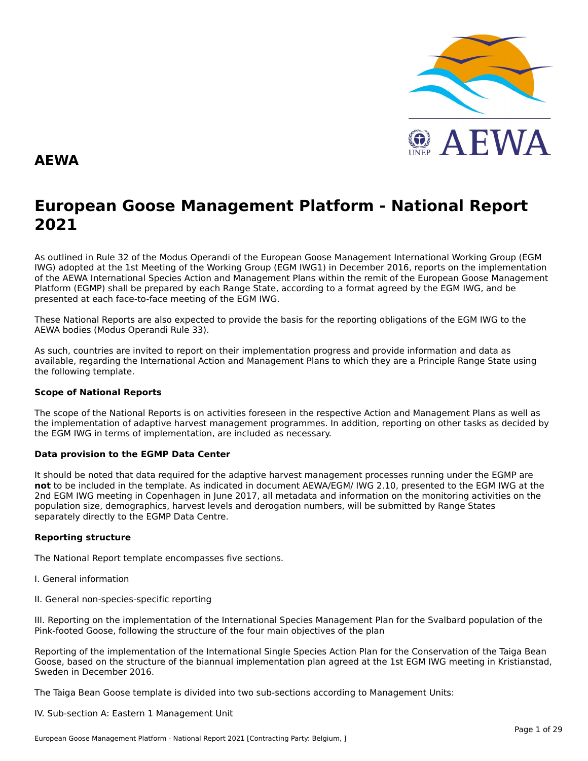

#### **AEWA**

## **European Goose Management Platform - National Report**European Goose Management Platform - National Report<br>2021

As outlined in Rule 32 of the Modus Operandi of the European Goose Management International Working Group (EGM As buthled in Rule 32 of the Modus Operandi of the Lufopean Goose Management International Working Group (LGM<br>IWG) adopted at the 1st Meeting of the Working Group (EGM IWG1) in December 2016, reports on the implementation of the AEWA International Species Action and Management Plans within the remit of the European Goose Management<br>of the AEWA International Species Action and Management Plans within the remit of the European Goose Managemen Platform (EGMP) shall be prepared by each Range State, according to a format agreed by the EGM IWG, and be presented at each face-to-face meeting of the EGM IWG.

These National Reports are also expected to provide the basis for the reporting obligations of the EGM IWG to the AEWA bodies (Modus Operandi Rule 33).

As such, countries are invited to report on their implementation progress and provide information and data asAs such, countries are invited to report on their implementation progress and provide imomiation and data as<br>available, regarding the International Action and Management Plans to which they are a Principle Range State usin the following template.

#### **Scope of National Reports**

The scope of the National Reports is on activities foreseen in the respective Action and Management Plans as well as<br>the invalence total of adoptive harvest management are respective and dition are atting on other today as the implementation of adaptive harvest management programmes. In addition, reporting on other tasks as decided by the EGM IWG in terms of implementation, are included as necessary.

#### **Data provision to the EGMP Data Center**

It should be noted that data required for the adaptive harvest management processes running under the EGMP are not to be included in the template. As indicated in document AEWA/EGM/ IWG 2.10, presented to the EGM IWG at the 2nd EGM IWG meeting in Copenhagen in June 2017, all metadata and information on the monitoring activities on the population size, demographics, harvest levels and derogation numbers, will be submitted by Range States separately directly to the EGMP Data Centre.

#### **Reporting structure**

The National Report template encompasses five sections.

- I. General information
- II. General non-species-specific reporting

III. Reporting on the implementation of the International Species Management Plan for the Svalbard population of the Pink-footed Goose, following the structure of the four main objectives of the plan

Reporting of the implementation of the International Single Species Action Plan for the Conservation of the Taiga Bean Goose, based on the structure of the biannual implementation plan agreed at the 1st EGM IWG meeting in Kristianstad, Sweden in December 2016.

The Taiga Bean Goose template is divided into two sub-sections according to Management Units:

#### IV. Sub-section A: Eastern 1 Management Unit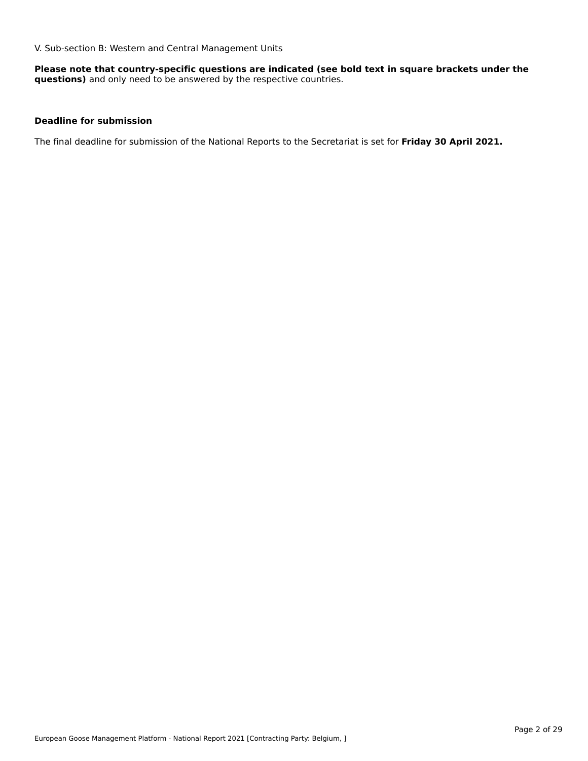V. Sub-section B: Western and Central Management Units

**Please note that country-specific questions are indicated (see bold text in square brackets under the questions)** and only need to be answered by the respective countries.

#### **Deadline for submission**

The final deadline for submission of the National Reports to the Secretariat is set for **Friday 30 April 2021.**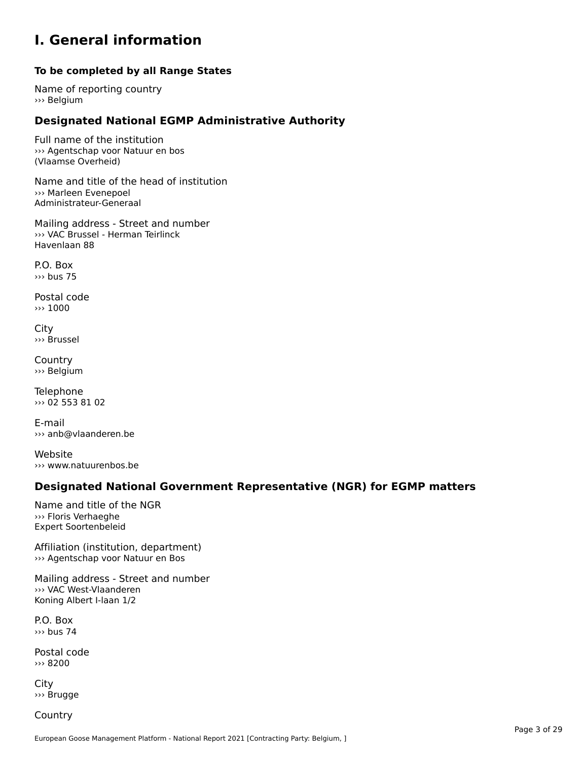#### **I. General information**

#### **To be completed by all Range States**

Name of reporting country››› Belgium

### **Designated National EGMP Administrative Authority**

Full name of the institution ››› Agentschap voor Natuur en bos (Vlaamse Overheid)

Name and title of the head of institution››› Marleen Evenepoel>>> Marleen Evenepoel<br>Administrateur-Generaal

Mailing address - Street and number ››› VAC Brussel - Herman TeirlinckHavenlaan 88

P.O. Box››› bus 75

Postal code››› 1000

City ››› Brussel

**Country** ››› Belgium

Telephone ››› 02 553 81 02

E-mail ››› anb@vlaanderen.be

Website››› www.natuurenbos.be

### **Designated National Government Representative (NGR) for EGMP matters**

Name and title of the NGR››› Floris Verhaeghe **Expert Soortenbeleid** 

Affiliation (institution, department)››› Agentschap voor Natuur en Bos

Mailing address - Street and number ››› VAC West-Vlaanderen www.comest-viaanderer<br>Koning Albert I-laan 1/2

P.O. Box››› bus 74

Postal code››› 8200

City ››› Brugge

**Country**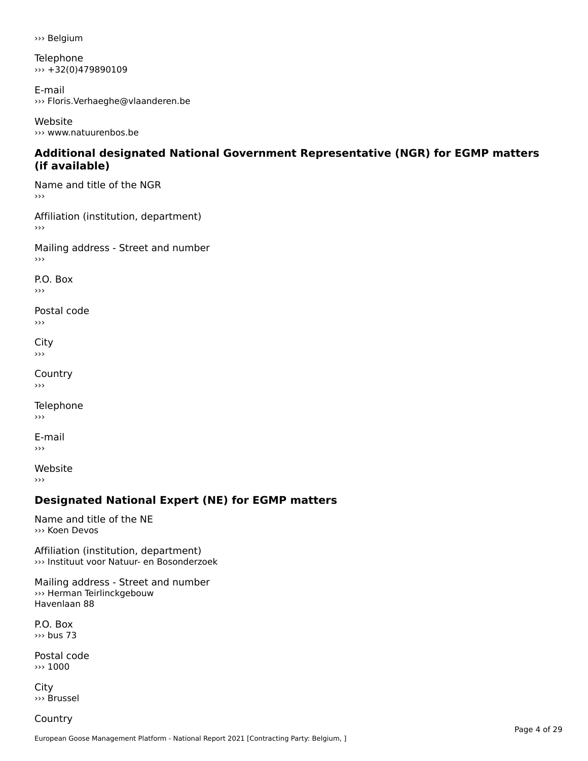››› Belgium

Telephone ››› +32(0)479890109

E-mail ››› Floris.Verhaeghe@vlaanderen.be

Website››› www.natuurenbos.be

#### **Additional designated National Government Representative (NGR) for EGMP matters (if available)**(if available)

Name and title of the NGR ›››

Affiliation (institution, department)  $\rightarrow$   $>$ 

Mailing address - Street and number

P.O. Box

›››

Postal code›››

 $\mathbf{C}^{\text{th}}$  $\mathbf{v}$  $\rightarrow$   $>$ 

**Country**  $\rightarrow$   $>$ 

Telephone

›››

E-mail ㄴ ㅣ<br>›››

Website ›››

### **Designated National Expert (NE) for EGMP matters**

Name and title of the NE ››› Koen Devos

Affiliation (institution, department) ››› Instituut voor Natuur- en Bosonderzoek

Mailing address - Street and number ››› Herman Teirlinckgebouw Havenlaan 88

P.O. Box››› bus 73

Postal code ››› 1000

City ››› Brussel

**Country**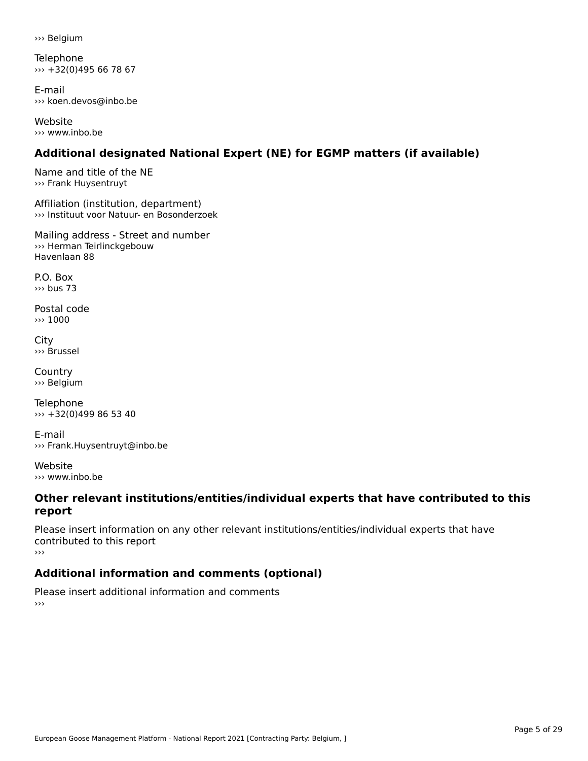››› Belgium

Telephone ››› +32(0)495 66 78 67

E-mail››› koen.devos@inbo.be

Website››› www.inbo.be

### **Additional designated National Expert (NE) for EGMP matters (if available)**

Name and title of the NE››› Frank Huysentruyt

Affiliation (institution, department) ››› Instituut voor Natuur- en Bosonderzoek

Mailing address - Street and number ››› Herman Teirlinckgebouw Havenlaan 88

P.O. Box››› bus 73

Postal code››› 1000

City ››› Brussel

**Country** ››› Belgium

**Telephone** ››› +32(0)499 86 53 40

E-mail››› Frank.Huysentruyt@inbo.be

Website ››› www.inbo.be

#### **Other relevant institutions/entities/individual experts that have contributed to this report**report

Please insert information on any other relevant institutions/entities/individual experts that have riease insert information<br>contributed to this report

### **Additional information and comments (optional)**

Please insert additional information and comments ›››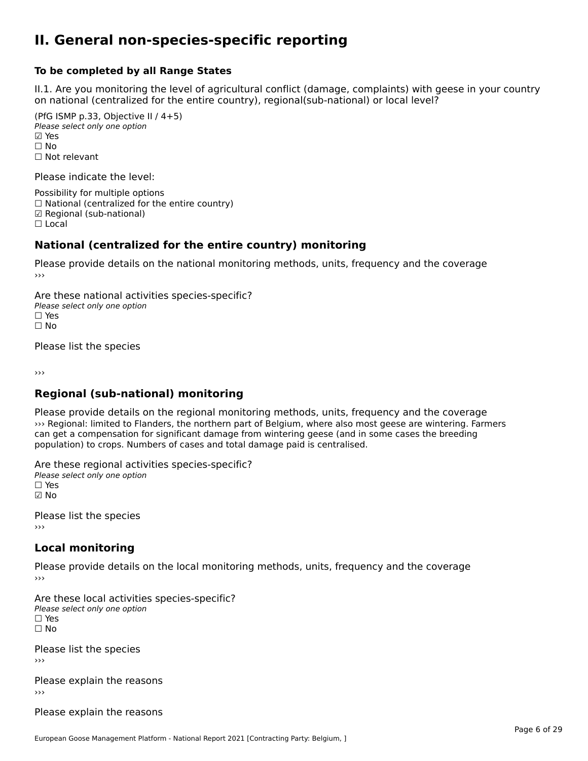#### **II. General non-species-specific reporting**

#### **To be completed by all Range States**

II.1. Are you monitoring the level of agricultural conflict (damage, complaints) with geese in your country n.i. Are you monitoring the lever or agricultural connict (damage, complaints) with g<br>on national (centralized for the entire country), regional(sub-national) or local level?

(PfG ISMP p.33, Objective II  $(4+5)$ ) Please select only one option ☑ Yes**☑ Yes**<br>□ No □ No<br>□ Not relevant

Please indicate the level:

Possibility for multiple options  $\Box$  National (centralized for the entire country) ☑ Regional (sub-national) ☐ Local

#### **National (centralized for the entire country) monitoring**

Please provide details on the national monitoring methods, units, frequency and the coverage

Are these national activities species-specific? Please select only one optionPlease select only one option<br>□ Yes ☐ No $\Box$  No

Please list the species

›››

#### **Regional (sub-national) monitoring**

Please provide details on the regional monitoring methods, units, frequency and the coverage ››› Regional: limited to Flanders, the northern part of Belgium, where also most geese are wintering. Farmers In the significant damage from wintering geese (and in some cases the breeding can get a compensation for significant damage from wintering geese (and in some cases the breeding population) to crops. Numbers of cases and total damage paid is centralised.

Are these regional activities species-specific? ∩ne enese regional activ<br>Please select only one option ☑ No

Please list the species ›››

#### **Local monitoring**

Please provide details on the local monitoring methods, units, frequency and the coverage

Are these local activities species-specific? ∩ne these local detivities<br>Please select only one option □ Yes<br>□ No

Please list the species ›››

Please explain the reasons›››

Please explain the reasons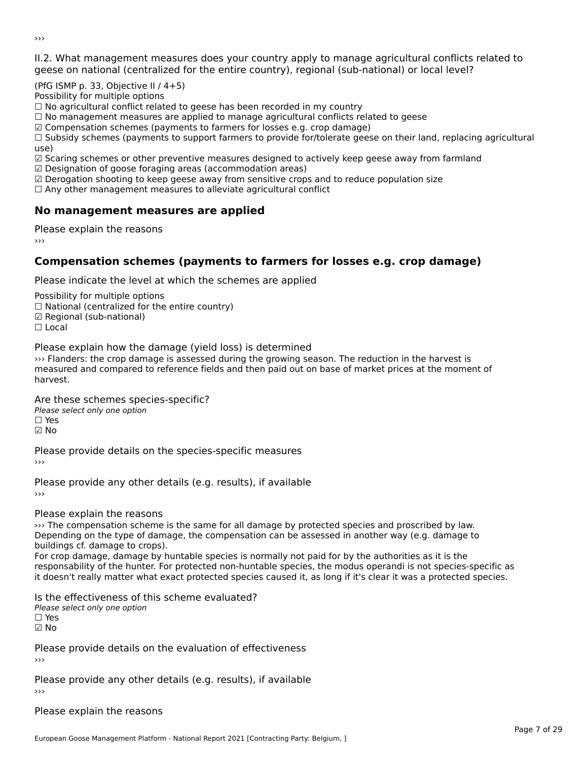II.2. What management measures does your country apply to manage agricultural conflicts related to

(PfG ISMP p. 33, Objective II  $/$  4+5)

Possibility for multiple options

rossibility for multiple options<br>□ No agricultural conflict related to geese has been recorded in my country

 $\Box$  No management measures are applied to manage agricultural conflicts related to geese

☑ Compensation schemes (payments to farmers for losses e.g. crop damage)

© Compensation schemes (payments to familers for losses e.g. crop damage)<br>□ Subsidy schemes (payments to support farmers to provide for/tolerate geese on their land, replacing agricultural use)

use,<br>☑ Scaring schemes or other preventive measures designed to actively keep geese away from farmland

☑ Designation of goose foraging areas (accommodation areas)

□ Designation of goose foraging areas (accommodation areas)<br>□ Derogation shooting to keep geese away from sensitive crops and to reduce population size

 $\Box$  Any other management measures to alleviate agricultural conflict

### **No management measures are applied**

Please explain the reasons ›››

### **Compensation schemes (payments to farmers for losses e.g. crop damage)**

Please indicate the level at which the schemes are applied

Possibility for multiple options

rossibility for multiple options<br>□ National (centralized for the entire country)

□ Regional (centranzed to<br>☑ Regional (sub-national)

☐ Local

Please explain how the damage (yield loss) is determined

››› Flanders: the crop damage is assessed during the growing season. The reduction in the harvest is which is the crop daniage is assessed during the growing season. The reduction in the narvest is<br>measured and compared to reference fields and then paid out on base of market prices at the moment of

Are these schemes species-specific?∩ne these senemes spee<br>Please select only one option ☑ No

Please provide details on the species-specific measures

Please provide any other details (e.g. results), if available

Please explain the reasons

››› The compensation scheme is the same for all damage by protected species and proscribed by law.222 The compensation scheme is the same for an uamage by protected species and proscribed by law.<br>Depending on the type of damage, the compensation can be assessed in another way (e.g. damage to bepending on the type of dama<br>buildings cf. damage to crops).

For crop damage, damage by huntable species is normally not paid for by the authorities as it is the ror crop damage, damage by nuntable species is normally not paid for by the additiontes as it is the<br>responsability of the hunter. For protected non-huntable species, the modus operandi is not species-specific as it doesn't really matter what exact protected species caused it, as long if it's clear it was a protected species.

Is the effectiveness of this scheme evaluated?Please select only one option ☐ Yes☑ No

Please provide details on the evaluation of effectiveness ›››

Please provide any other details (e.g. results), if available

Please explain the reasons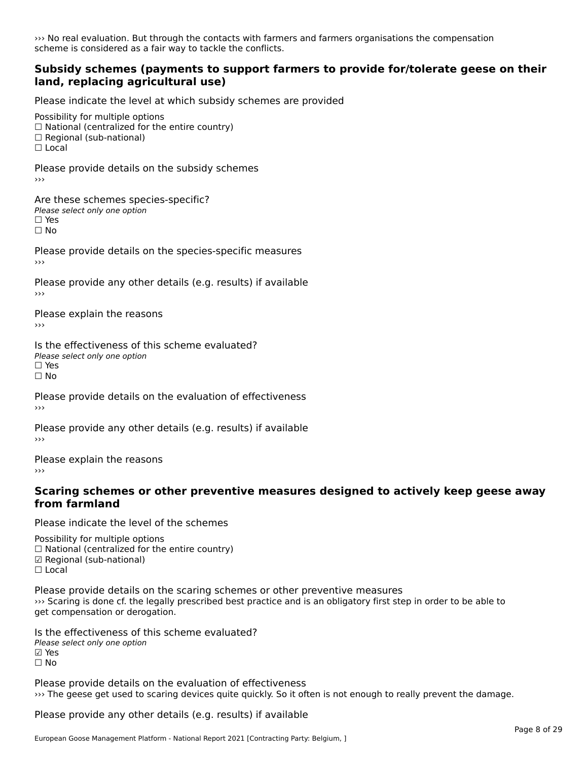››› No real evaluation. But through the contacts with farmers and farmers organisations the compensation scheme is considered as a fair way to tackle the conflicts.

#### **Subsidy schemes (payments to support farmers to provide for/tolerate geese on their land, replacing agricultural use)**

Please indicate the level at which subsidy schemes are provided

Possibility for multiple options

rossibility for multiple options<br>□ National (centralized for the entire country)

□ Regional (sub-national)

☐ Local

Please provide details on the subsidy schemes

Are these schemes species-specific?∩ne these senemes spee<br>Please select only one option  $\square$  Yes ☐ No

Please provide details on the species-specific measures

Please provide any other details (e.g. results) if available

Please explain the reasons›››

Is the effectiveness of this scheme evaluated?□ CIC CILCCLIVENC55 OF C<br>Please select only one option □ Yes<br>□ No

Please provide details on the evaluation of effectiveness

Please provide any other details (e.g. results) if available

Please explain the reasons›››

# **Scaring schemes or other preventive measures designed to actively keep geese away from farmland**

Please indicate the level of the schemes

Possibility for multiple options  $\Box$  National (centralized for the entire country) ם Regional (Sub-national)  $\Box$  Local

Please provide details on the scaring schemes or other preventive measures ››› Scaring is done cf. the legally prescribed best practice and is an obligatory first step in order to be able to www.scaring is done cit the regary<br>get compensation or derogation.

Is the effectiveness of this scheme evaluated?Please select only one optionriease<br>□ Yes ⊠ Yes<br>□ No

Please provide details on the evaluation of effectiveness ››› The geese get used to scaring devices quite quickly. So it often is not enough to really prevent the damage.

Please provide any other details (e.g. results) if available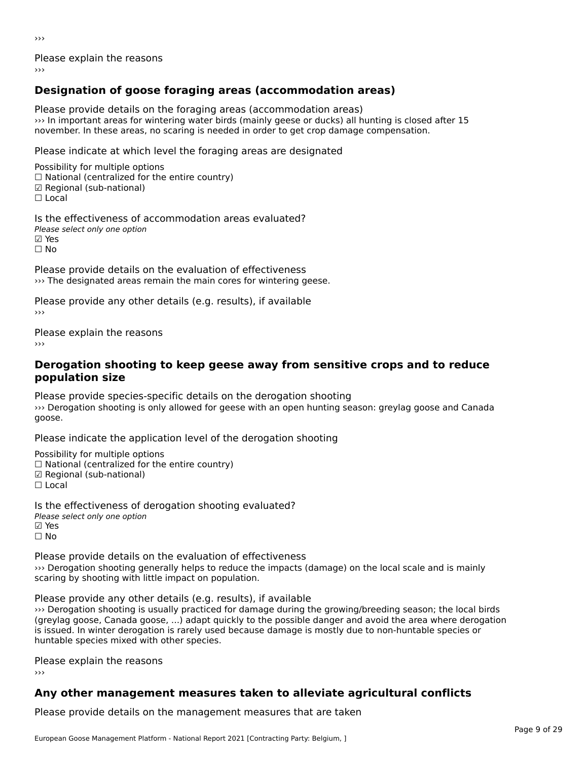Please explain the reasons

### **Designation of goose foraging areas (accommodation areas)**

Please provide details on the foraging areas (accommodation areas) ››› In important areas for wintering water birds (mainly geese or ducks) all hunting is closed after 15 we in important areas for wintering water birds (mainly geese or ducks) an numing is closed<br>november. In these areas, no scaring is needed in order to get crop damage compensation.

Please indicate at which level the foraging areas are designated

Possibility for multiple options  $\Box$  National (centralized for the entire country)  $\boxtimes$  Regional (sub-national)<br> $\Box$  Local

Is the effectiveness of accommodation areas evaluated?Please select only one option☑ Yes☐ No

Please provide details on the evaluation of effectiveness I lease provide details on the evaluation of effectiveness<br>>>> The designated areas remain the main cores for wintering geese.

Please provide any other details (e.g. results), if available

Please explain the reasons

#### **Derogation shooting to keep geese away from sensitive crops and to reduce population size**population size

Please provide species-specific details on the derogation shooting A case provide species specific actails on the derogation shooting.<br>We Derogation shooting is only allowed for geese with an open hunting season: greylag goose and Canada goose.

Please indicate the application level of the derogation shooting

Possibility for multiple options rossibility for multiple options<br>□ National (centralized for the entire country) □ Regional (centranzed to<br>☑ Regional (sub-national)

☐ Local

Is the effectiveness of derogation shooting evaluated? Please select only one option ☑ Yes☐ No

Please provide details on the evaluation of effectiveness ››› Derogation shooting generally helps to reduce the impacts (damage) on the local scale and is mainly we berogation shooting generally neips to reduce the scaring by shooting with little impact on population.

Please provide any other details (e.g. results), if available ››› Derogation shooting is usually practiced for damage during the growing/breeding season; the local birds (greylag goose, Canada goose, ...) adapt quickly to the possible danger and avoid the area where derogation igreyiag goose, Canada goose, ..., adapt quickly to the possible danger and avoid the area where derog<br>is issued. In winter derogation is rarely used because damage is mostly due to non-huntable species or is issued. In winter derogation is rarely used<br>huntable species mixed with other species.

Please explain the reasons

### **Any other management measures taken to alleviate agricultural conflicts**

Please provide details on the management measures that are taken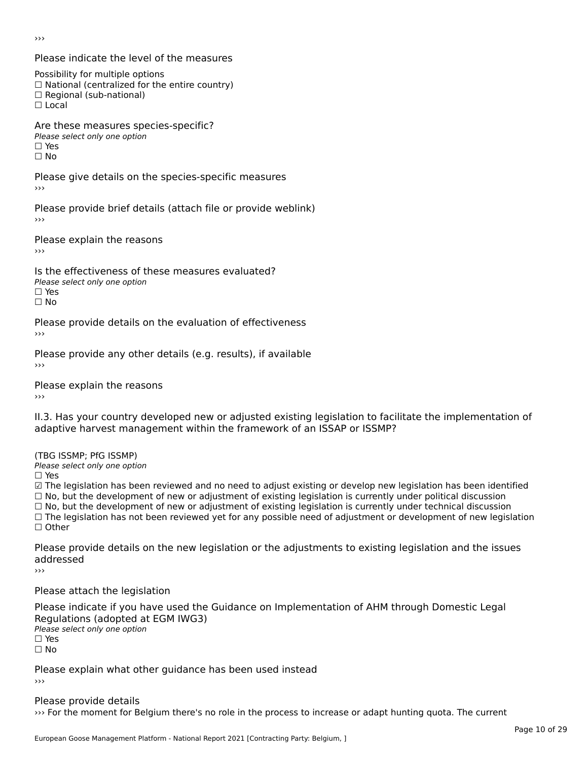Please indicate the level of the measures

Possibility for multiple options

rossibility for multiple options<br>□ National (centralized for the entire country)

□ National (centralized io<br>□ Regional (sub-national)

☐ Local

Are these measures species-specific?

ric criese measures spe<br>Please select only one option

☐ Yesים<br>⊡ No

Please give details on the species-specific measures ›››

Please provide brief details (attach file or provide weblink)

Please explain the reasons

Is the effectiveness of these measures evaluated?Please select only one option ☐ Yes

☐ No

Please provide details on the evaluation of effectiveness

Please provide any other details (e.g. results), if available

Please explain the reasons

II.3. Has your country developed new or adjusted existing legislation to facilitate the implementation of adaptive harvest management within the framework of an ISSAP or ISSMP?

(TBG ISSMP; PfG ISSMP)

Please select only one option ☐ Yes

☑ The legislation has been reviewed and no need to adjust existing or develop new legislation has been identified ⊠ The regislation has been reviewed and no need to adjust existing or develop new regislation has been ident<br>□ No, but the development of new or adjustment of existing legislation is currently under political discussion  $□$  No, but the development of new or adjustment of existing legislation is currently under technical discussion<br> $□$  No, but the development of new or adjustment of existing legislation is currently under technical discus  $\Box$  The legislation has not been reviewed yet for any possible need of adjustment or development of new legislation ☐ Other

Please provide details on the new legislation or the adjustments to existing legislation and the issues riease pro<br>addressed

Please attach the legislation

Please indicate if you have used the Guidance on Implementation of AHM through Domestic Legal ∩egalations (aaopted al.<br>Please select only one option □ Yes<br>□ No

Please explain what other guidance has been used instead ›››

Please provide details ››› For the moment for Belgium there's no role in the process to increase or adapt hunting quota. The current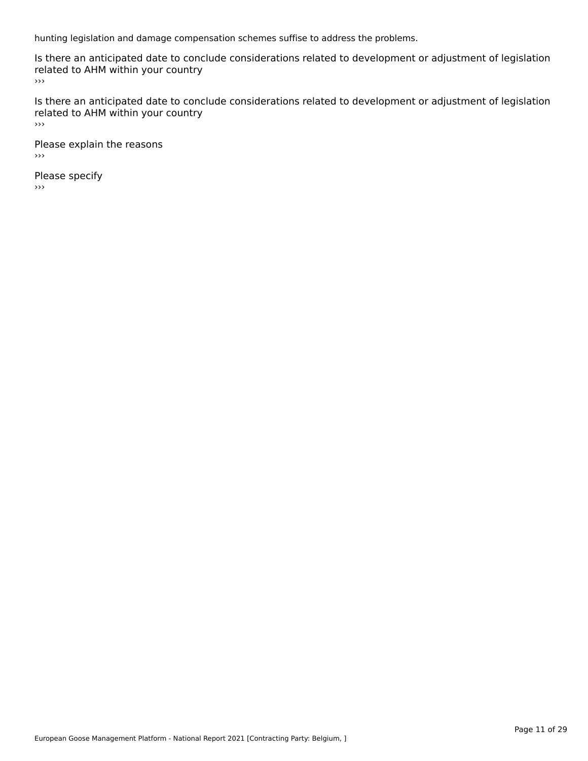hunting legislation and damage compensation schemes suffise to address the problems.

Is there an anticipated date to conclude considerations related to development or adjustment of legislation Fracture to Army within your country

Is there an anticipated date to conclude considerations related to development or adjustment of legislation Fracture to Army within your country  $\rightarrow$   $>$ 

Please explain the reasons ›››

Please specify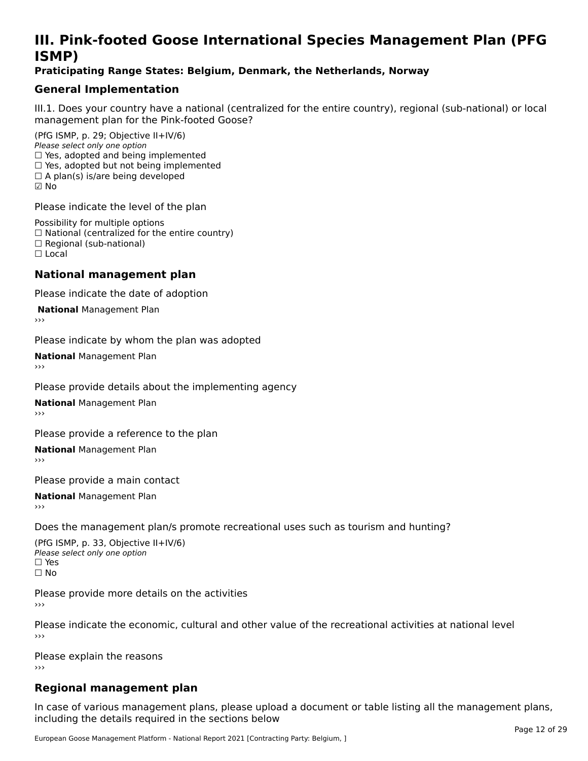### **III. Pink-footed Goose International Species Management Plan (PFG**III. FII<br>ICMAD)

#### **Praticipating Range States: Belgium, Denmark, the Netherlands, Norway**

### **General Implementation**

III.1. Does your country have a national (centralized for the entire country), regional (sub-national) or local

(PfG ISMP, p. 29; Objective II+IV/6) Please select only one option *riease select only one option*<br>□ Yes, adopted and being implemented  $\Box$  res, adopted and being implemented<br> $\Box$  Yes, adopted but not being implemented  $\Box$  A plan(s) is/are being developed ☑ No

Please indicate the level of the plan

Possibility for multiple options rossibility for multiple options<br>□ National (centralized for the entire country) □ National (centralized io<br>□ Regional (sub-national) ☐ Local

#### **National management plan**

Please indicate the date of adoption

**National Management Plan** 

Please indicate by whom the plan was adopted

**National** Management Plan

Please provide details about the implementing agency

**National** Management Plan

Please provide a reference to the plan

**National** Management Plan

Please provide a main contact

**National** Management Plan

Does the management plan/s promote recreational uses such as tourism and hunting?

(PfG ISMP, p. 33, Objective II+IV/6) Please select only one optionPlease select only one option  $\square$  Yes ☐ No

Please provide more details on the activities›››

Please indicate the economic, cultural and other value of the recreational activities at national level

Please explain the reasons ›››

### **Regional management plan**

In case of various management plans, please upload a document or table listing all the management plans, $\frac{1}{2}$  case of various management plans, please uploa including the details required in the sections below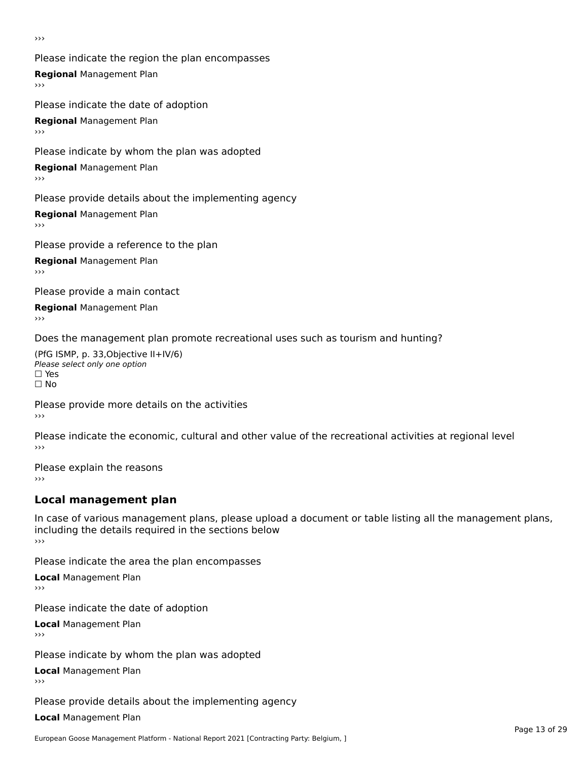Please indicate the region the plan encompasses **Regional** Management Plan Please indicate the date of adoption

**Regional** Management Plan

Please indicate by whom the plan was adopted

**Regional** Management Plan

Please provide details about the implementing agency

**Regional** Management Plan

Please provide a reference to the plan

**Regional** Management Plan

Please provide a main contact

**Regional** Management Plan

Does the management plan promote recreational uses such as tourism and hunting?

(PfG ISMP, p. 33,Objective II+IV/6) ∩∩ וויוכו פון<br>Please select only one option<br>□ Yes □ Yes<br>□ No

Please provide more details on the activities ›››

Please indicate the economic, cultural and other value of the recreational activities at regional level

Please explain the reasons ›››

### **Local management plan**

In case of various management plans, please upload a document or table listing all the management plans, in case or various management plans, please uploa<br>including the details required in the sections below ›››

Please indicate the area the plan encompasses

**Local** Management Plan

Please indicate the date of adoption

**Local** Management Plan›››

Please indicate by whom the plan was adopted

**Local** Management Plan

Please provide details about the implementing agency

**Local** Management Plan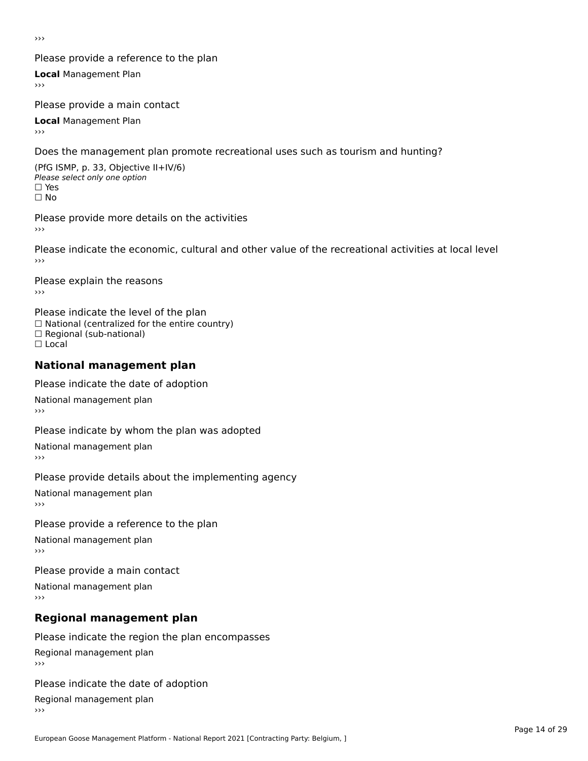#### Please provide a reference to the plan

**Local** Management Plan

Please provide a main contact

**Local** Management Plan

Does the management plan promote recreational uses such as tourism and hunting?

(PfG ISMP, p. 33, Objective II+IV/6) Please select only one option☐ Yes☐ No

Please provide more details on the activities

Please indicate the economic, cultural and other value of the recreational activities at local level

Please explain the reasons ›››

Please indicate the level of the plan ∩ease marcate the lever of the plan<br>□ National (centralized for the entire country) □ National (centralized io<br>□ Regional (sub-national) ☐ Local

#### **National management plan**

Please indicate the date of adoption

National management plan

Please indicate by whom the plan was adopted

National management plan

Please provide details about the implementing agency

National management plan

Please provide a reference to the plan

National management plan

Please provide a main contact

National management plan

### **Regional management plan**

Please indicate the region the plan encompasses Regional management plan

Please indicate the date of adoption

Regional management plan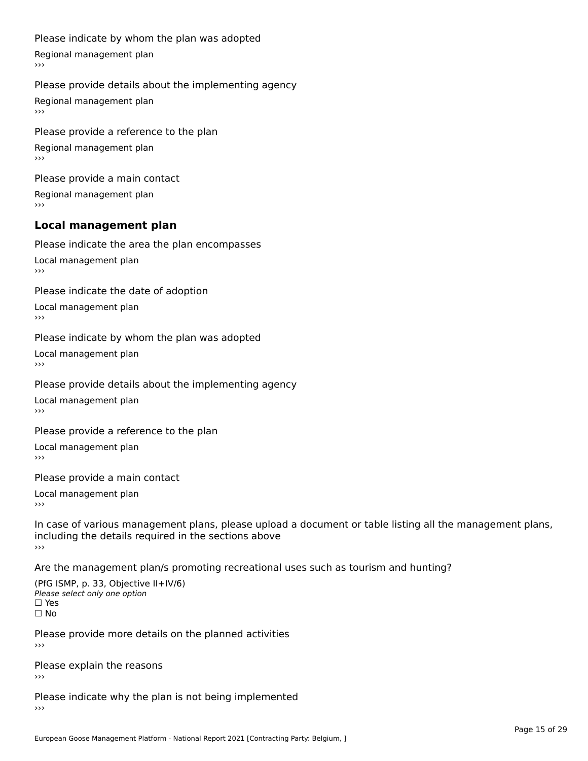#### Please indicate by whom the plan was adopted

Regional management plan

#### Please provide details about the implementing agency

Regional management plan

Please provide a reference to the plan Regional management plan

Please provide a main contact Regional management plan

### **Local management plan**

Please indicate the area the plan encompasses

Local management plan $\overline{\phantom{a}}$  $\rightarrow$   $>$ 

Please indicate the date of adoption

Local management plan $\overline{v}$ 

Please indicate by whom the plan was adopted Local management plan›››

Please provide details about the implementing agency

Local management plan $\overline{v}$ 

Please provide a reference to the plan

Local management plan›››

Please provide a main contact

Local management plan $\overline{v}$ 

In case of various management plans, please upload a document or table listing all the management plans,in case or various management plans, please upload including the details required in the sections above<br>>>>

Are the management plan/s promoting recreational uses such as tourism and hunting?

(PfG ISMP, p. 33, Objective II+IV/6) Please select only one option☐ Yes☐ No

Please provide more details on the planned activities

Please explain the reasons›››

Please indicate why the plan is not being implemented›››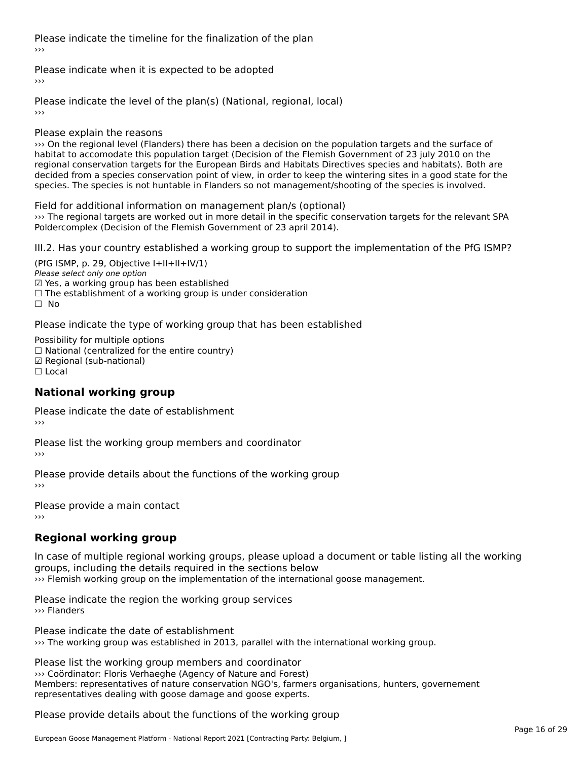Please indicate the timeline for the finalization of the plan

Please indicate when it is expected to be adopted

Please indicate the level of the plan(s) (National, regional, local)

Please explain the reasons

››› On the regional level (Flanders) there has been a decision on the population targets and the surface of habitat to accomodate this population target (Decision of the Flemish Government of 23 july 2010 on the regional conservation targets for the European Birds and Habitats Directives species and habitats). Both are regional conservation targets for the Lufopean birds and habitats birectives species and habitats). Both are<br>decided from a species conservation point of view, in order to keep the wintering sites in a good state for the species. The species is not huntable in Flanders so not management/shooting of the species is involved.

Field for additional information on management plan/s (optional) ››› The regional targets are worked out in more detail in the specific conservation targets for the relevant SPA while regional targets are worked out in more detail in the specific co.<br>Poldercomplex (Decision of the Flemish Government of 23 april 2014).

III.2. Has your country established a working group to support the implementation of the PfG ISMP?

(PfG ISMP, p. 29, Objective  $I+II+II+IV/1$ ) Please select only one option ☑ Yes, a working group has been established⊠ाes, a working group nas been established<br>□ The establishment of a working group is under consideration ☐ No

Please indicate the type of working group that has been established

Possibility for multiple options ☐ National (centralized for the entire country)□ National (centralized io<br>☑ Regional (sub-national) ⊠ Regio<br>□ Local

#### **National working group**

Please indicate the date of establishment›››

Please list the working group members and coordinator ›››

Please provide details about the functions of the working group ›››

Please provide a main contact ›››

### **Regional working group**

In case of multiple regional working groups, please upload a document or table listing all the working groups, including the details required in the sections below››› Flemish working group on the implementation of the international goose management.

Please indicate the region the working group services ››› Flanders

Please indicate the date of establishment ››› The working group was established in 2013, parallel with the international working group.

Please list the working group members and coordinator ››› Coördinator: Floris Verhaeghe (Agency of Nature and Forest) Members: representatives of nature (Agency of Nature and Forest)<br>Members: representatives of nature conservation NGO's, farmers organisations, hunters, governement representatives dealing with goose damage and goose experts.

Please provide details about the functions of the working group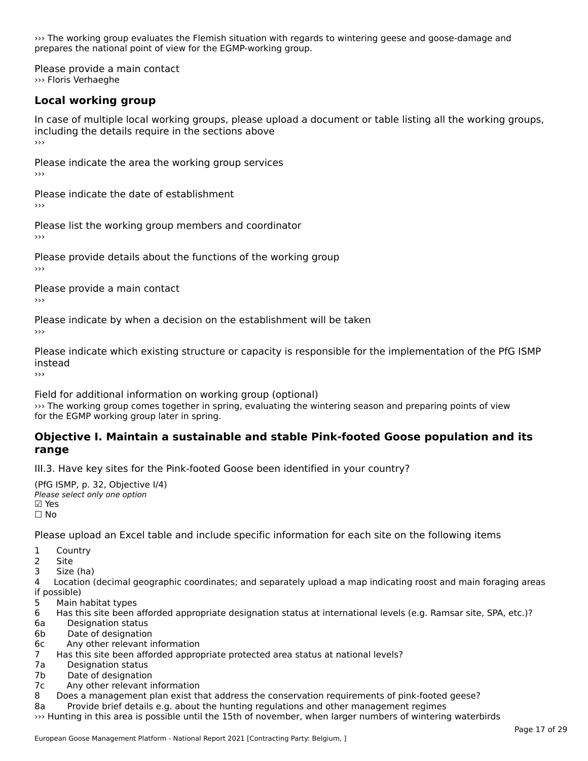››› The working group evaluates the Flemish situation with regards to wintering geese and goose-damage and **prepares the national point of view for the EGMP-working group.**<br>prepares the national point of view for the EGMP-working group.

Please provide a main contact ››› Floris Verhaeghe

### **Local working group**

In case of multiple local working groups, please upload a document or table listing all the working groups, including the details require in the sections above<br>>>>

Please indicate the area the working group services ›››

Please indicate the date of establishment ›››

Please list the working group members and coordinator ›››

Please provide details about the functions of the working group ›››

Please provide a main contact ›››

Please indicate by when a decision on the establishment will be taken

Please indicate which existing structure or capacity is responsible for the implementation of the PfG ISMP instead

Field for additional information on working group (optional) ››› The working group comes together in spring, evaluating the wintering season and preparing points of view we fire working group comes together in sp<br>for the EGMP working group later in spring.

#### **Objective I. Maintain a sustainable and stable Pink-footed Goose population and its range**range

III.3. Have key sites for the Pink-footed Goose been identified in your country?

 $(DFG ICMD, p. 32, 0$ biective  $I(4)$ Please select only one optionPlease select only one option<br>☑ Yes ☐ No

Please upload an Excel table and include specific information for each site on the following items

 $1 \quad \alpha$ 

1 COUI

2 Site<br>3 Size (ha)

د احداد<br>4 Location (decimal geographic coordinates; and separately upload a map indicating roost and main foraging areas 4 Location<br>if possible)

5 Main habitat types

- 6 Has this site been afforded appropriate designation status at international levels (e.g. Ramsar site, SPA, etc.)? 6. Bestweetter status
- 6a Designation status<br>6b Date of designation
- 
- 6c Any other relevant information
- 7 Has this site been afforded appropriate protected area status at national levels? 7a Designation status
- 7a Designation status<br>7b Date of designation
- 
- 7c Any other relevant information
- 8 Does a management plan exist that address the conservation requirements of pink-footed geese?

Ba Boes a management plan exist that address the conservation requirements of plink-looted geese:<br>8a Phovide brief details e.g. about the hunting regulations and other management regimes

>>> Hunting in this area is possible until the 15th of november, when larger numbers of wintering waterbirds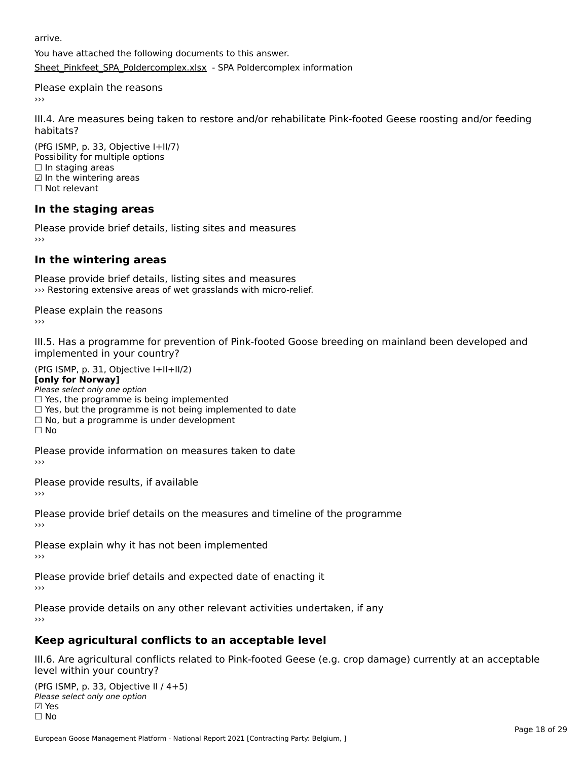arrive.

You have attached the following documents to this answer.[Sheet\\_Pinkfeet\\_SPA\\_Poldercomplex.xlsx](http://aewa-ort.ort-production.linode.unep-wcmc.org/answers/3160752/documents/2376) - SPA Poldercomplex information

Please explain the reasons›››

III.4. Are measures being taken to restore and/or rehabilitate Pink-footed Geese roosting and/or feeding

(PfG ISMP, p. 33, Objective I+II/7) Possibility for multiple options rossiomey for mule<br>□ In staging areas ☑ In the wintering areas☐ Not relevant

### **In the staging areas**

Please provide brief details, listing sites and measures ›››

#### **In the wintering areas**

Please provide brief details, listing sites and measures ››› Restoring extensive areas of wet grasslands with micro-relief.

Please explain the reasons›››

III.5. Has a programme for prevention of Pink-footed Goose breeding on mainland been developed and implemented in your country?

 $(PC I CMP, p. 31, Ok)$ **[only for Norway]**

[only for Norway]

**Polly for Norway,**<br>Please select only one option

 $\Box$  Yes, the programme is being implemented  $\Box$  Yes, the programme is being implemented

 $\Box$  res, but the programme is not being implemented to date

 $\Box$  No, but a programme is under development  $\Box$  No

Please provide information on measures taken to date

Please provide results, if available

Please provide brief details on the measures and timeline of the programme

Please explain why it has not been implemented

Please provide brief details and expected date of enacting it

Please provide details on any other relevant activities undertaken, if any

### **Keep agricultural conflicts to an acceptable level**

III.6. Are agricultural conflicts related to Pink-footed Geese (e.g. crop damage) currently at an acceptable level within your country?

(PfG ISMP, p. 33, Objective II / 4+5)יייכר וייכר (דוייכו)<br>Please select only one option ☐ No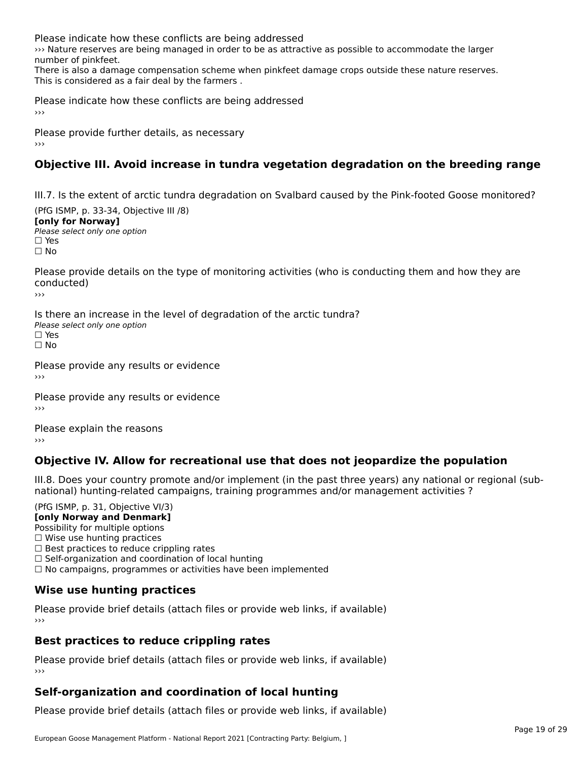Please indicate how these conflicts are being addressed

››› Nature reserves are being managed in order to be as attractive as possible to accommodate the larger www.isacure.reserves.com<br>number of pinkfeet.

number of pinkfeet.<br>There is also a damage compensation scheme when pinkfeet damage crops outside these nature reserves. This is considered as a fair deal by the farmers .

Please indicate how these conflicts are being addressed

Please provide further details, as necessary ›››

### **Objective III. Avoid increase in tundra vegetation degradation on the breeding range**

III.7. Is the extent of arctic tundra degradation on Svalbard caused by the Pink-footed Goose monitored?

(PfG ISMP, p. 33-34, Objective III /8) **[only for Norway] Please select only one option<br>Please select only one option** □ Yes<br>□ No

Please provide details on the type of monitoring activities (who is conducting them and how they are conducted)

›››

Is there an increase in the level of degradation of the arctic tundra? Please select only one option ☐ Yes☐ No

Please provide any results or evidence

Please provide any results or evidence

Please explain the reasons

### **Objective IV. Allow for recreational use that does not jeopardize the population**

III.8. Does your country promote and/or implement (in the past three years) any national or regional (subnno. Does your country promote and/or implement (in the past tillee years) any national or<br>national) hunting-related campaigns, training programmes and/or management activities ?

(PfG ISMP, p. 31, Objective VI/3) **[only Norway and Denmark]** Possibility for multiple options ☐ Wise use hunting practices  $\Box$  wise use numing practices<br> $\Box$  Best practices to reduce crippling rates □ Best practices to reduce crippinig rates<br>□ Self-organization and coordination of local hunting

□ Sen-organization and coordination or local nunting<br>□ No campaigns, programmes or activities have been implemented

#### **Wise use hunting practices**

Please provide brief details (attach files or provide web links, if available) ›››

### **Best practices to reduce crippling rates**

Please provide brief details (attach files or provide web links, if available)

### **Self-organization and coordination of local hunting**

Please provide brief details (attach files or provide web links, if available)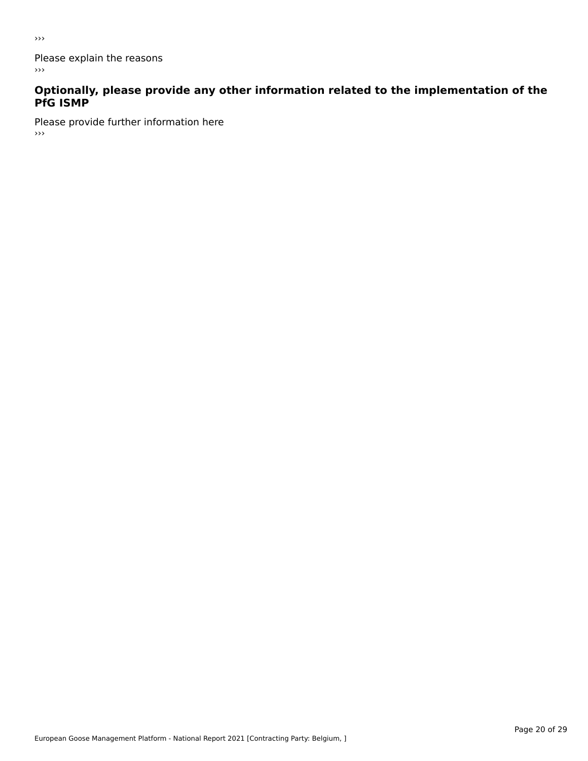Please explain the reasons  $\rightarrow$   $>$ 

# **Optionally, please provide any other information related to the implementation of the PfG ISMP**

Please provide further information here  $\rightarrow$   $>$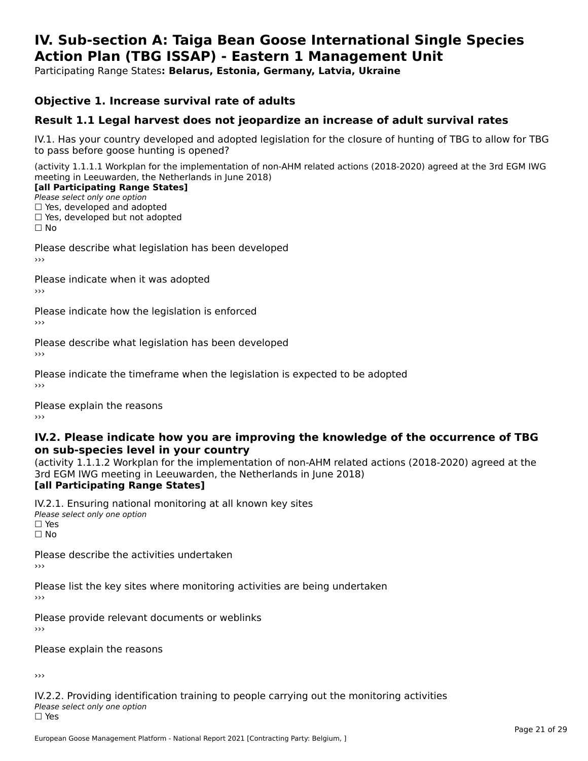#### **IV. Sub-section A: Taiga Bean Goose International Single Species Action Plan (TBG ISSAP) - Eastern 1 Management UnitAction Plan (TBG ISSAP) - Eastern 1 Management Unit**

Participating Range States**: Belarus, Estonia, Germany, Latvia, Ukraine** 

#### **Objective 1. Increase survival rate of adults**

#### **Result 1.1 Legal harvest does not jeopardize an increase of adult survival rates**

IV.1. Has your country developed and adopted legislation for the closure of hunting of TBG to allow for TBG IV.1. Thas your country developed and add<br>to pass before goose hunting is opened?

(activity 1.1.1.1 Workplan for the implementation of non-AHM related actions (2018-2020) agreed at the 3rd EGM IWG meeting in Leeuwarden, the Netherlands in June 2018)

#### [all Participating Range States]

Please select only one option ☐ Yes, developed and adopted

 ☐ Yes, developed but not adopted $\Box$  ies, developed but not adopted

Please describe what legislation has been developed

Please indicate when it was adopted

Please indicate how the legislation is enforced

Please describe what legislation has been developed

Please indicate the timeframe when the legislation is expected to be adopted

Please explain the reasons

#### **IV.2. Please indicate how you are improving the knowledge of the occurrence of TBGon sub-species level in your country**on sub-species level in your country

on sub-species fever in your country<br>(activity 1.1.1.2 Workplan for the implementation of non-AHM related actions (2018-2020) agreed at the **Brd EGM IWG meeting in Leeuwarden, the Netherlands in June 2018)** 

#### [all Participating Range States]

IV.2.1. Ensuring national monitoring at all known key sites <del>■ Western Chroning</del> Hational<br>Please select only one option □ Yes<br>□ No

Please describe the activities undertaken

Please list the key sites where monitoring activities are being undertaken

Please provide relevant documents or weblinks

Please explain the reasons

›››

IV.2.2. Providing identification training to people carrying out the monitoring activities Please select only one option<br>□ Yes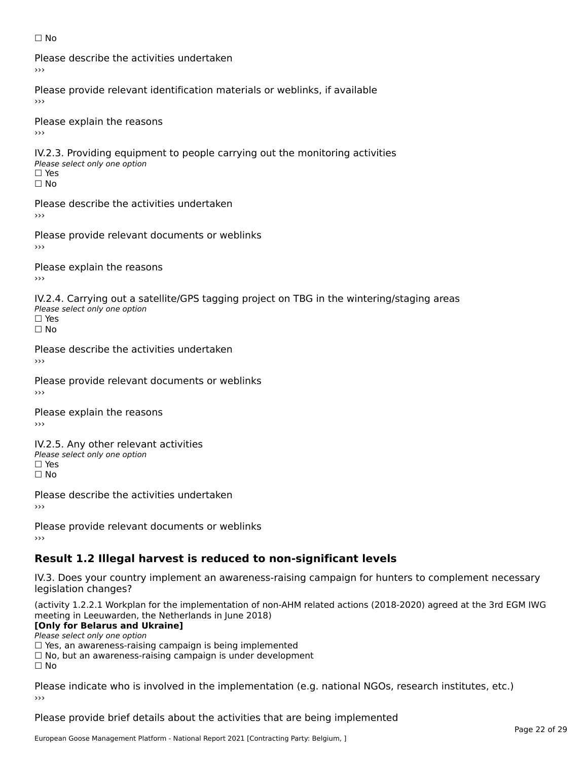#### ☐ No

Please describe the activities undertaken›››

Please provide relevant identification materials or weblinks, if available

Please explain the reasons

IV.2.3. Providing equipment to people carrying out the monitoring activities Please select only one option ☐ Yes□ Yes<br>□ No

Please describe the activities undertaken›››

Please provide relevant documents or weblinks

Please explain the reasons ›››

IV.2.4. Carrying out a satellite/GPS tagging project on TBG in the wintering/staging areas <del>∩</del><br>Please select only one option □ Yes<br>□ No

Please describe the activities undertaken›››

Please provide relevant documents or weblinks

Please explain the reasons

IV.2.5. Any other relevant activities Please select only one option ☐ Yes□ Yes<br>□ No

Please describe the activities undertaken›››

Please provide relevant documents or weblinks

### **Result 1.2 Illegal harvest is reduced to non-significant levels**

IV.3. Does your country implement an awareness-raising campaign for hunters to complement necessary rv.5. Does your court<br>legislation changes?

(activity 1.2.2.1 Workplan for the implementation of non-AHM related actions (2018-2020) agreed at the 3rd EGM IWG meeting in Leeuwarden, the Netherlands in June 2018)

#### **[Only for Belarus and Ukraine]**

**LOTTLY TOT Detailed and O**<br>Please select only one option

riease select only one option<br>□ Yes, an awareness-raising campaign is being implemented<br>□ Yes, an awareness-raising campaign is under development

□ No, but an awareness-raising campaign is under development<br>□ N。

 $\Box$  No

Please indicate who is involved in the implementation (e.g. national NGOs, research institutes, etc.)

Please provide brief details about the activities that are being implemented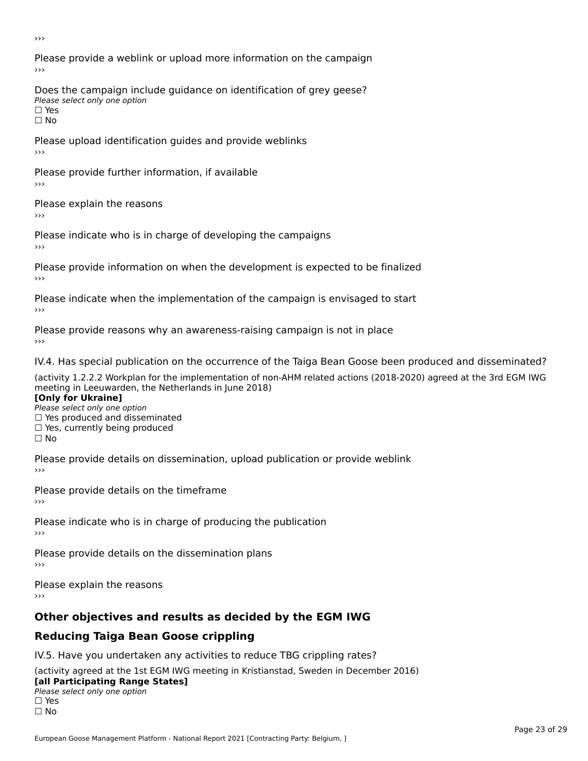Please provide a weblink or upload more information on the campaign›››

Does the campaign include guidance on identification of grey geese? Please select only one option<br>□ Yes □ Yes<br>□ No

Please upload identification guides and provide weblinks ›››

Please provide further information, if available

Please explain the reasons

Please indicate who is in charge of developing the campaigns

Please provide information on when the development is expected to be finalized

Please indicate when the implementation of the campaign is envisaged to start

Please provide reasons why an awareness-raising campaign is not in place

IV.4. Has special publication on the occurrence of the Taiga Bean Goose been produced and disseminated?

(activity 1.2.2.2 Workplan for the implementation of non-AHM related actions (2018-2020) agreed at the 3rd EGM IWG **[Only for Ukraine]**

**□ Yes produced and disseminated**<br>Please select only one option  $\Box$  ies produced and disseminated  $\Box$  ies, currently being produced

Please provide details on dissemination, upload publication or provide weblink

Please provide details on the timeframe

Please indicate who is in charge of producing the publication

Please provide details on the dissemination plans

Please explain the reasons ›››

### **Other objectives and results as decided by the EGM IWG**

### **Reducing Taiga Bean Goose crippling**

IV.5. Have you undertaken any activities to reduce TBG crippling rates?

(activity agreed at the 1st EGM IWG meeting in Kristianstad, Sweden in December 2016) **[all Participating Range States]**

#### [all Participating Range States] **Lan T articipating Range**<br>Please select only one option

□ Yes<br>□ No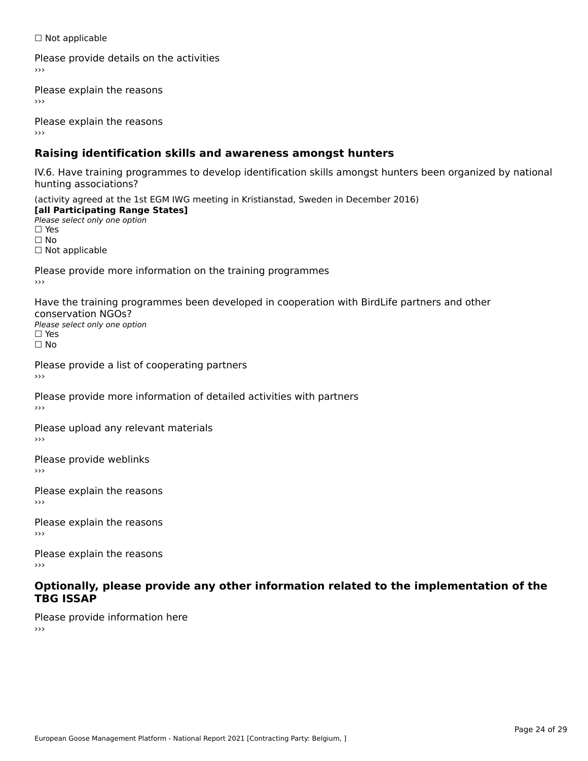☐ Not applicable

Please provide details on the activities

Please explain the reasons

Please explain the reasons

### **Raising identification skills and awareness amongst hunters**

IV.6. Have training programmes to develop identification skills amongst hunters been organized by national hunting associations?

(activity agreed at the 1st EGM IWG meeting in Kristianstad, Sweden in December 2016) **[all Participating Range States]**[all Participating Range States] **Lan Tarticipating Range**<br>Please select only one option ☐ Yes☐ No□ Not applicable

Please provide more information on the training programmes

Have the training programmes been developed in cooperation with BirdLife partners and other conservation NGOs?Please select only one option☐ Yes☐ No

Please provide a list of cooperating partners

Please provide more information of detailed activities with partners

Please upload any relevant materials

Please provide weblinks

Please explain the reasons

Please explain the reasons›››

Please explain the reasons›››

#### **Optionally, please provide any other information related to the implementation of the TBG ISSAP**

Please provide information here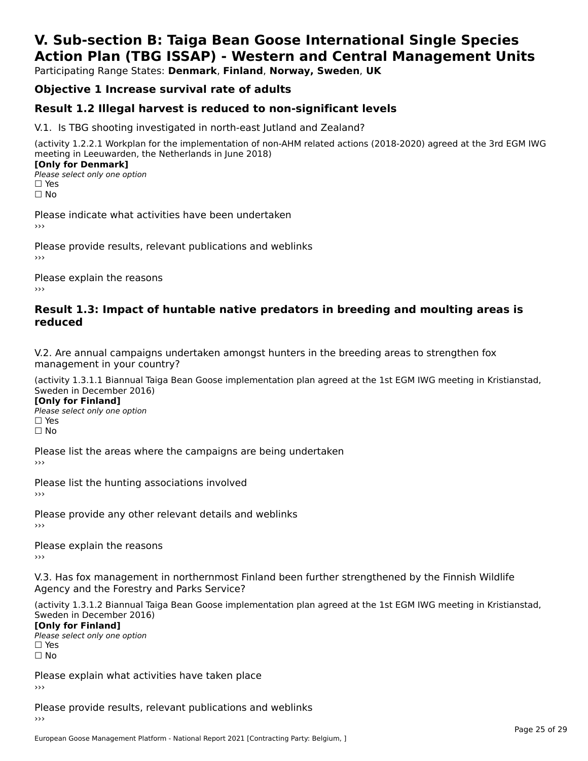### **V. Sub-section B: Taiga Bean Goose International Single SpeciesAction Plan (TBG ISSAP) - Western and Central Management Units**

Participating Range States: **Denmark**, **Finland**, **Norway, Sweden**, **UK**

### **Objective 1 Increase survival rate of adults**

### **Result 1.2 Illegal harvest is reduced to non-significant levels**

V.1. Is TBG shooting investigated in north-east Jutland and Zealand?

(activity 1.2.2.1 Workplan for the implementation of non-AHM related actions (2018-2020) agreed at the 3rd EGM IWG meeting in Leeuwarden, the Netherlands in June 2018) **[Only for Denmark]** 

**□ Please select only one option** □ Yes<br>□ No

Please indicate what activities have been undertaken›››

Please provide results, relevant publications and weblinks ›››

Please explain the reasons›››

#### **Result 1.3: Impact of huntable native predators in breeding and moulting areas is reduced**

V.2. Are annual campaigns undertaken amongst hunters in the breeding areas to strengthen fox v.z. Are annual campaigns und<br>management in your country?

(activity 1.3.1.1 Biannual Taiga Bean Goose implementation plan agreed at the 1st EGM IWG meeting in Kristianstad, Sweden in December 2016)

**[Only for Finland]** Please select only one optionriease<br>□ Yes □ Yes<br>□ No

Please list the areas where the campaigns are being undertaken

Please list the hunting associations involved

Please provide any other relevant details and weblinks ›››

Please explain the reasons

V.3. Has fox management in northernmost Finland been further strengthened by the Finnish Wildlife v.5. Has fox management in northernmost F<br>Agency and the Forestry and Parks Service?

(activity 1.3.1.2 Biannual Taiga Bean Goose implementation plan agreed at the 1st EGM IWG meeting in Kristianstad, Sweden in December 2016) Sweden in December 2016)

[Only for Finland]

**Please select only one option** □ Yes<br>□ No

Please explain what activities have taken place

Please provide results, relevant publications and weblinks ›››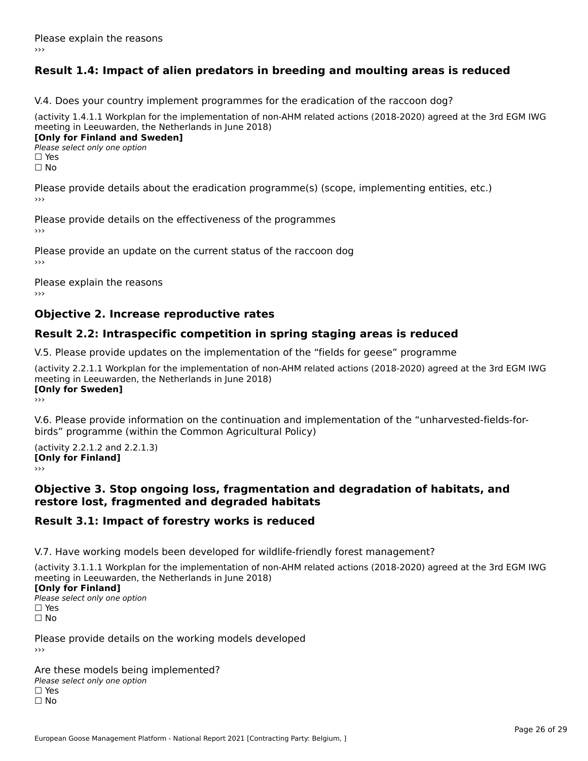### **Result 1.4: Impact of alien predators in breeding and moulting areas is reduced**

V.4. Does your country implement programmes for the eradication of the raccoon dog?

(activity 1.4.1.1 Workplan for the implementation of non-AHM related actions (2018-2020) agreed at the 3rd EGM IWG meeting in Leeuwarden, the Netherlands in June 2018) **[Only for Finland and Sweden]**

**Please select only one option** 

□ Yes<br>□ No

Please provide details about the eradication programme(s) (scope, implementing entities, etc.)

Please provide details on the effectiveness of the programmes

Please provide an update on the current status of the raccoon dog

Please explain the reasons

### **Objective 2. Increase reproductive rates**

### **Result 2.2: Intraspecific competition in spring staging areas is reduced**

V.5. Please provide updates on the implementation of the "fields for geese" programme

(activity 2.2.1.1 Workplan for the implementation of non-AHM related actions (2018-2020) agreed at the 3rd EGM IWG meeting in Leeuwarden, the Netherlands in June 2018) <u>Iony</u> ioi swedenj

V.6. Please provide information on the continuation and implementation of the "unharvested-fields-forbirds" programme (within the Common Agricultural Policy)birds" programme (within the Common Agricultural Policy)

(activity 2.2.1.2 and 2.2.1.3) **CONDUCTS**<br> **[Only for Finland]** 

#### **Objective 3. Stop ongoing loss, fragmentation and degradation of habitats, and restore lost, fragmented and degraded habitats**

#### **Result 3.1: Impact of forestry works is reduced**

V.7. Have working models been developed for wildlife-friendly forest management?

(activity 3.1.1.1 Workplan for the implementation of non-AHM related actions (2018-2020) agreed at the 3rd EGM IWG

#### **[Only for Finland]**

**Please select only one option** □ Yes<br>□ No

Please provide details on the working models developed›››

Are these models being implemented? ∩ne enese moders being<br>Please select only one option □ Yes<br>□ No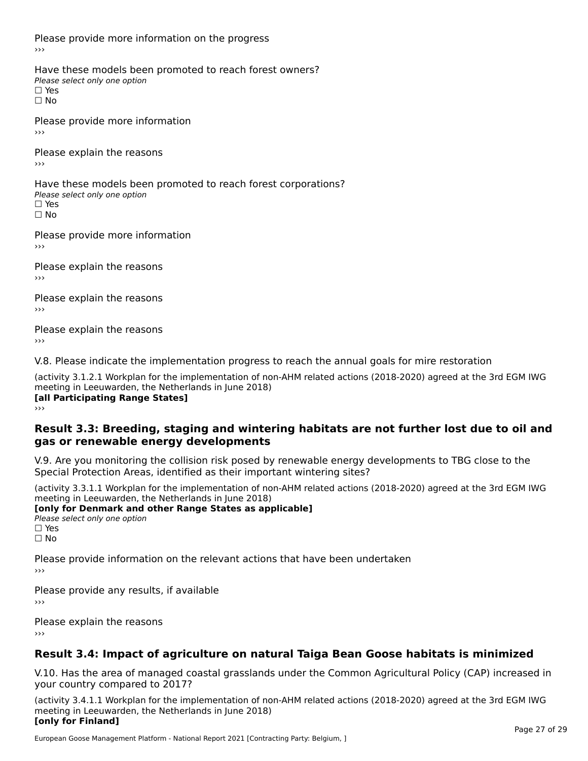Please provide more information on the progress

Have these models been promoted to reach forest owners? ∩ave these models bee<br>Please select only one option □ Yes<br>□ No

Please provide more information›››

Please explain the reasons ›››

Have these models been promoted to reach forest corporations? ∩ave these models bee<br>Please select only one option □ Yes<br>□ No

Please provide more information›››

Please explain the reasons ›››

Please explain the reasons›››

Please explain the reasons›››

V.8. Please indicate the implementation progress to reach the annual goals for mire restoration

(activity 3.1.2.1 Workplan for the implementation of non-AHM related actions (2018-2020) agreed at the 3rd EGM IWG meeting in Leeuwarden, the Netherlands in June 2018) **[all Participating Range States]** ›››

**Result 3.3: Breeding, staging and wintering habitats are not further lost due to oil andgas or renewable energy developments**

#### gas or renewable energy developments

V.9. Are you monitoring the collision risk posed by renewable energy developments to TBG close to the Special Protection Areas, identified as their important wintering sites?

(activity 3.3.1.1 Workplan for the implementation of non-AHM related actions (2018-2020) agreed at the 3rd EGM IWG **[only for Denmark and other Range States as applicable]**

**Please select only one option** □ Yes<br>□ No

Please provide information on the relevant actions that have been undertaken ›››

Please provide any results, if available

Please explain the reasons

### **Result 3.4: Impact of agriculture on natural Taiga Bean Goose habitats is minimized**

V.10. Has the area of managed coastal grasslands under the Common Agricultural Policy (CAP) increased in

(activity 3.4.1.1 Workplan for the implementation of non-AHM related actions (2018-2020) agreed at the 3rd EGM IWG meeting in Leeuwarden, the Netherlands in June 2018) **[only for Finland]**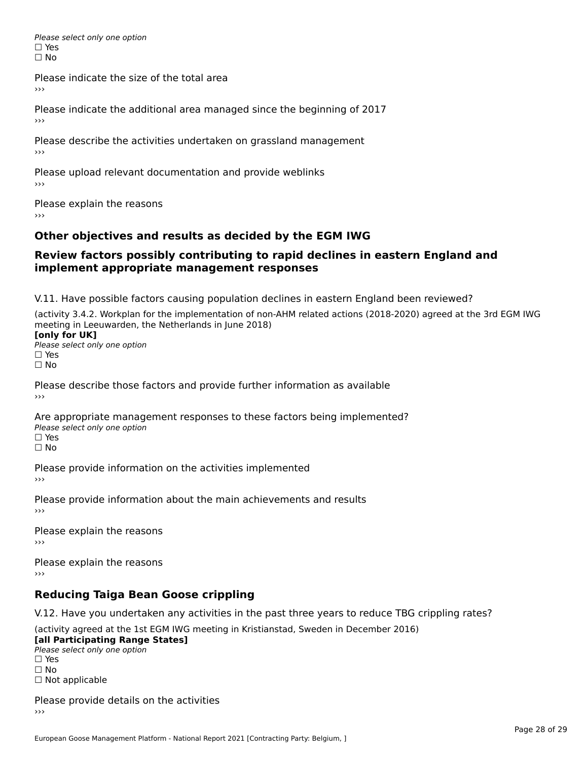Please select only one option □ Yes<br>□ No

Please indicate the size of the total area

›››

Please indicate the additional area managed since the beginning of 2017

Please describe the activities undertaken on grassland management ›››

Please upload relevant documentation and provide weblinks

Please explain the reasons

### **Other objectives and results as decided by the EGM IWG**

#### **Review factors possibly contributing to rapid declines in eastern England andimplement appropriate management responses**implement appropriate management responses

V.11. Have possible factors causing population declines in eastern England been reviewed?

(activity 3.4.2. Workplan for the implementation of non-AHM related actions (2018-2020) agreed at the 3rd EGM IWGmeeting in Leeuwarden, the Netherlands in June 2018) meeting in Leeuwarden, the Netherlands in June 2018)<br>**[only for UK]** 

**∐omy for OR**<br>Please select only one option □ Yes<br>□ No

Please describe those factors and provide further information as available

Are appropriate management responses to these factors being implemented? Please select only one option ים<br>⊡ No

Please provide information on the activities implemented ›››

Please provide information about the main achievements and results›››

Please explain the reasons›››

Please explain the reasons ›››

### **Reducing Taiga Bean Goose crippling**

V.12. Have you undertaken any activities in the past three years to reduce TBG crippling rates?

(activity agreed at the 1st EGM IWG meeting in Kristianstad, Sweden in December 2016) **[all Participating Range States]**

[all Participating Range States] Please select only one option☐ Yesים<br>⊡ No □ Not applicable

Please provide details on the activities  $\rightarrow$   $>$